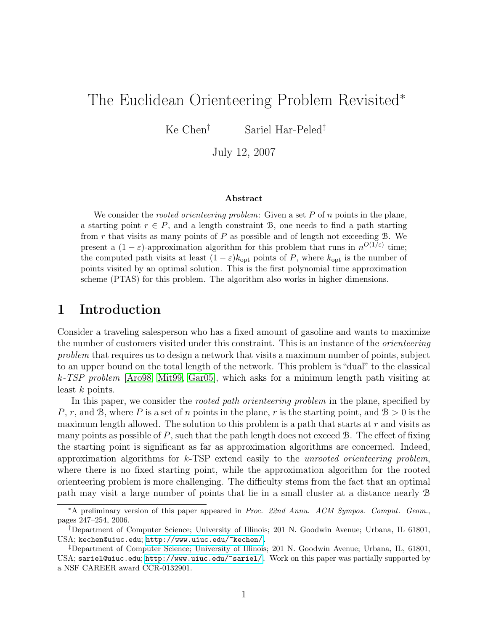# The Euclidean Orienteering Problem Revisited<sup>∗</sup>

Ke Chen† Sariel Har-Peled‡

July 12, 2007

#### Abstract

We consider the *rooted orienteering problem*: Given a set  $P$  of  $n$  points in the plane, a starting point  $r \in P$ , and a length constraint B, one needs to find a path starting from  $r$  that visits as many points of  $P$  as possible and of length not exceeding  $B$ . We present a  $(1 - \varepsilon)$ -approximation algorithm for this problem that runs in  $n^{O(1/\varepsilon)}$  time; the computed path visits at least  $(1 - \varepsilon)k_{\text{opt}}$  points of P, where  $k_{\text{opt}}$  is the number of points visited by an optimal solution. This is the first polynomial time approximation scheme (PTAS) for this problem. The algorithm also works in higher dimensions.

## 1 Introduction

Consider a traveling salesperson who has a fixed amount of gasoline and wants to maximize the number of customers visited under this constraint. This is an instance of the *orienteering* problem that requires us to design a network that visits a maximum number of points, subject to an upper bound on the total length of the network. This problem is "dual" to the classical k-TSP problem [\[Aro98,](#page-13-0) [Mit99,](#page-13-1) [Gar05\]](#page-13-2), which asks for a minimum length path visiting at least  $k$  points.

In this paper, we consider the *rooted path orienteering problem* in the plane, specified by P, r, and B, where P is a set of n points in the plane, r is the starting point, and  $B > 0$  is the maximum length allowed. The solution to this problem is a path that starts at  $r$  and visits as many points as possible of  $P$ , such that the path length does not exceed  $B$ . The effect of fixing the starting point is significant as far as approximation algorithms are concerned. Indeed, approximation algorithms for  $k$ -TSP extend easily to the *unrooted orienteering problem*, where there is no fixed starting point, while the approximation algorithm for the rooted orienteering problem is more challenging. The difficulty stems from the fact that an optimal path may visit a large number of points that lie in a small cluster at a distance nearly B

<sup>∗</sup>A preliminary version of this paper appeared in Proc. 22nd Annu. ACM Sympos. Comput. Geom., pages 247–254, 2006.

<sup>†</sup>Department of Computer Science; University of Illinois; 201 N. Goodwin Avenue; Urbana, IL 61801, USA; kechen@uiuc.edu; [http://www.uiuc.edu/~kechen/.](http://www.uiuc.edu/~kechen/)

<sup>‡</sup>Department of Computer Science; University of Illinois; 201 N. Goodwin Avenue; Urbana, IL, 61801, USA; sariel@uiuc.edu; [http://www.uiuc.edu/~sariel/.](http://www.uiuc.edu/~sariel/) Work on this paper was partially supported by a NSF CAREER award CCR-0132901.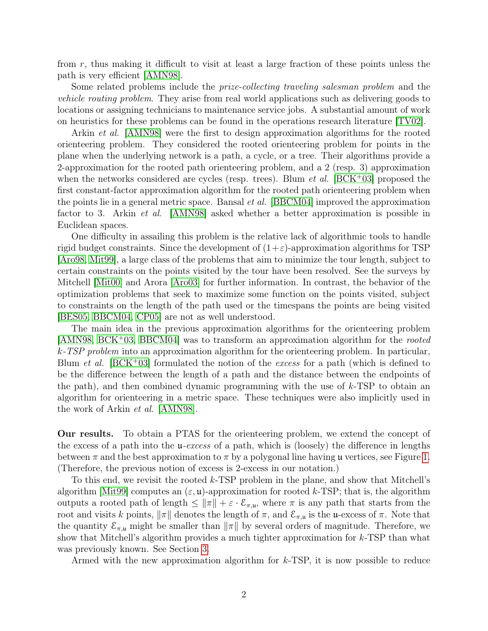from r, thus making it difficult to visit at least a large fraction of these points unless the path is very efficient [\[AMN98\]](#page-13-3).

Some related problems include the *prize-collecting traveling salesman problem* and the vehicle routing problem. They arise from real world applications such as delivering goods to locations or assigning technicians to maintenance service jobs. A substantial amount of work on heuristics for these problems can be found in the operations research literature [\[TV02\]](#page-13-4).

Arkin et al. [\[AMN98\]](#page-13-3) were the first to design approximation algorithms for the rooted orienteering problem. They considered the rooted orienteering problem for points in the plane when the underlying network is a path, a cycle, or a tree. Their algorithms provide a 2-approximation for the rooted path orienteering problem, and a 2 (resp. 3) approximation when the networks considered are cycles (resp. trees). Blum *et al.* [\[BCK](#page-13-5)+03] proposed the first constant-factor approximation algorithm for the rooted path orienteering problem when the points lie in a general metric space. Bansal et al. [\[BBCM04\]](#page-13-6) improved the approximation factor to 3. Arkin et al. [\[AMN98\]](#page-13-3) asked whether a better approximation is possible in Euclidean spaces.

One difficulty in assailing this problem is the relative lack of algorithmic tools to handle rigid budget constraints. Since the development of  $(1+\varepsilon)$ -approximation algorithms for TSP [\[Aro98,](#page-13-0) [Mit99\]](#page-13-1), a large class of the problems that aim to minimize the tour length, subject to certain constraints on the points visited by the tour have been resolved. See the surveys by Mitchell [\[Mit00\]](#page-13-7) and Arora [\[Aro03\]](#page-13-8) for further information. In contrast, the behavior of the optimization problems that seek to maximize some function on the points visited, subject to constraints on the length of the path used or the timespans the points are being visited [\[BES05,](#page-13-9) [BBCM04,](#page-13-6) [CP05\]](#page-13-10) are not as well understood.

The main idea in the previous approximation algorithms for the orienteering problem  $[AMN98, BCK<sup>+</sup>03, BBCM04]$  $[AMN98, BCK<sup>+</sup>03, BBCM04]$  $[AMN98, BCK<sup>+</sup>03, BBCM04]$  $[AMN98, BCK<sup>+</sup>03, BBCM04]$  was to transform an approximation algorithm for the *rooted*  $k$ -TSP problem into an approximation algorithm for the orienteering problem. In particular, Blum *et al.* [\[BCK](#page-13-5)+03] formulated the notion of the *excess* for a path (which is defined to be the difference between the length of a path and the distance between the endpoints of the path), and then combined dynamic programming with the use of  $k$ -TSP to obtain an algorithm for orienteering in a metric space. These techniques were also implicitly used in the work of Arkin et al. [\[AMN98\]](#page-13-3).

Our results. To obtain a PTAS for the orienteering problem, we extend the concept of the excess of a path into the  $u$ -excess of a path, which is (loosely) the difference in lengths between  $\pi$  and the best approximation to  $\pi$  by a polygonal line having u vertices, see Figure [1.](#page-2-0) (Therefore, the previous notion of excess is 2-excess in our notation.)

To this end, we revisit the rooted k-TSP problem in the plane, and show that Mitchell's algorithm Mit99 computes an  $(\varepsilon, \mathfrak{u})$ -approximation for rooted k-TSP; that is, the algorithm outputs a rooted path of length  $\leq ||\pi|| + \varepsilon \cdot \mathcal{E}_{\pi,\mathfrak{u}}$ , where  $\pi$  is any path that starts from the root and visits k points,  $\|\pi\|$  denotes the length of  $\pi$ , and  $\mathcal{E}_{\pi,\mathfrak{u}}$  is the u-excess of  $\pi$ . Note that the quantity  $\mathcal{E}_{\pi,\mu}$  might be smaller than  $\|\pi\|$  by several orders of magnitude. Therefore, we show that Mitchell's algorithm provides a much tighter approximation for  $k$ -TSP than what was previously known. See Section [3.](#page-3-0)

Armed with the new approximation algorithm for  $k$ -TSP, it is now possible to reduce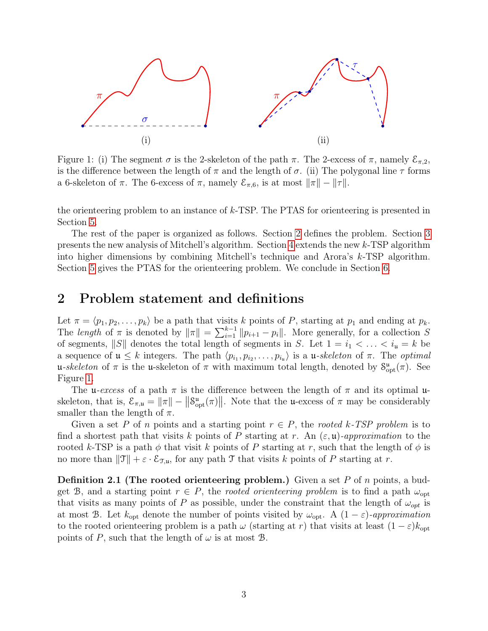

<span id="page-2-0"></span>Figure 1: (i) The segment  $\sigma$  is the 2-skeleton of the path  $\pi$ . The 2-excess of  $\pi$ , namely  $\mathcal{E}_{\pi,2}$ , is the difference between the length of  $\pi$  and the length of  $\sigma$ . (ii) The polygonal line  $\tau$  forms a 6-skeleton of  $\pi$ . The 6-excess of  $\pi$ , namely  $\mathcal{E}_{\pi,6}$ , is at most  $\|\pi\| - \|\tau\|$ .

the orienteering problem to an instance of k-TSP. The PTAS for orienteering is presented in Section [5.](#page-11-0)

The rest of the paper is organized as follows. Section [2](#page-2-1) defines the problem. Section [3](#page-3-0) presents the new analysis of Mitchell's algorithm. Section [4](#page-8-0) extends the new k-TSP algorithm into higher dimensions by combining Mitchell's technique and Arora's  $k$ -TSP algorithm. Section [5](#page-11-0) gives the PTAS for the orienteering problem. We conclude in Section [6.](#page-12-0)

## <span id="page-2-1"></span>2 Problem statement and definitions

Let  $\pi = \langle p_1, p_2, \ldots, p_k \rangle$  be a path that visits k points of P, starting at  $p_1$  and ending at  $p_k$ . The length of  $\pi$  is denoted by  $\|\pi\| = \sum_{i=1}^{k-1} \|p_{i+1} - p_i\|$ . More generally, for a collection S of segments,  $||S||$  denotes the total length of segments in S. Let  $1 = i_1 < \ldots < i_u = k$  be a sequence of  $\mathfrak{u} \leq k$  integers. The path  $\langle p_{i_1}, p_{i_2}, \ldots, p_{i_u} \rangle$  is a  $\mathfrak{u}$ -skeleton of  $\pi$ . The *optimal* u-skeleton of  $\pi$  is the u-skeleton of  $\pi$  with maximum total length, denoted by  $S^{\mu}_{opt}(\pi)$ . See Figure [1.](#page-2-0)

The u-excess of a path  $\pi$  is the difference between the length of  $\pi$  and its optimal uskeleton, that is,  $\mathcal{E}_{\pi,\mathfrak{u}} = ||\pi|| - ||\mathcal{S}_{\text{opt}}^{\mathfrak{u}}(\pi)||$ . Note that the u-excess of  $\pi$  may be considerably smaller than the length of  $\pi$ .

Given a set P of n points and a starting point  $r \in P$ , the rooted k-TSP problem is to find a shortest path that visits k points of P starting at r. An  $(\varepsilon, \mathfrak{u})$ -approximation to the rooted k-TSP is a path  $\phi$  that visit k points of P starting at r, such that the length of  $\phi$  is no more than  $\|\mathfrak{T}\| + \varepsilon \cdot \mathcal{E}_{\mathfrak{T},\mathfrak{u}}$ , for any path T that visits k points of P starting at r.

**Definition 2.1 (The rooted orienteering problem.)** Given a set  $P$  of  $n$  points, a budget B, and a starting point  $r \in P$ , the *rooted orienteering problem* is to find a path  $\omega_{opt}$ that visits as many points of P as possible, under the constraint that the length of  $\omega_{opt}$  is at most B. Let  $k_{opt}$  denote the number of points visited by  $\omega_{opt}$ . A  $(1 - \varepsilon)$ -approximation to the rooted orienteering problem is a path  $\omega$  (starting at r) that visits at least  $(1 - \varepsilon)k_{\text{opt}}$ points of P, such that the length of  $\omega$  is at most  $\mathcal{B}$ .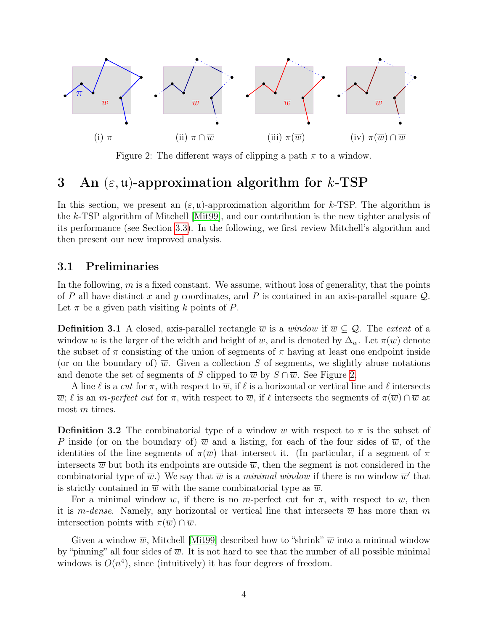

<span id="page-3-1"></span>Figure 2: The different ways of clipping a path  $\pi$  to a window.

## <span id="page-3-0"></span>3 An  $(\varepsilon, \mathfrak{u})$ -approximation algorithm for k-TSP

In this section, we present an  $(\varepsilon, \mathfrak{u})$ -approximation algorithm for k-TSP. The algorithm is the k-TSP algorithm of Mitchell [\[Mit99\]](#page-13-1), and our contribution is the new tighter analysis of its performance (see Section [3.3\)](#page-5-0). In the following, we first review Mitchell's algorithm and then present our new improved analysis.

### 3.1 Preliminaries

In the following,  $m$  is a fixed constant. We assume, without loss of generality, that the points of P all have distinct x and y coordinates, and P is contained in an axis-parallel square  $\mathcal{Q}$ . Let  $\pi$  be a given path visiting k points of P.

**Definition 3.1** A closed, axis-parallel rectangle  $\overline{w}$  is a window if  $\overline{w} \subset Q$ . The extent of a window  $\overline{w}$  is the larger of the width and height of  $\overline{w}$ , and is denoted by  $\Delta_{\overline{w}}$ . Let  $\pi(\overline{w})$  denote the subset of  $\pi$  consisting of the union of segments of  $\pi$  having at least one endpoint inside (or on the boundary of)  $\overline{w}$ . Given a collection S of segments, we slightly abuse notations and denote the set of segments of S clipped to  $\overline{w}$  by  $S \cap \overline{w}$ . See Figure [2.](#page-3-1)

A line  $\ell$  is a cut for  $\pi$ , with respect to  $\overline{w}$ , if  $\ell$  is a horizontal or vertical line and  $\ell$  intersects  $\overline{w}$ ;  $\ell$  is an m-perfect cut for  $\pi$ , with respect to  $\overline{w}$ , if  $\ell$  intersects the segments of  $\pi(\overline{w}) \cap \overline{w}$  at most m times.

**Definition 3.2** The combinatorial type of a window  $\overline{w}$  with respect to  $\pi$  is the subset of P inside (or on the boundary of)  $\overline{w}$  and a listing, for each of the four sides of  $\overline{w}$ , of the identities of the line segments of  $\pi(\overline{w})$  that intersect it. (In particular, if a segment of  $\pi$ intersects  $\overline{w}$  but both its endpoints are outside  $\overline{w}$ , then the segment is not considered in the combinatorial type of  $\overline{w}$ .) We say that  $\overline{w}$  is a *minimal window* if there is no window  $\overline{w}'$  that is strictly contained in  $\overline{w}$  with the same combinatorial type as  $\overline{w}$ .

For a minimal window  $\overline{w}$ , if there is no m-perfect cut for  $\pi$ , with respect to  $\overline{w}$ , then it is m-dense. Namely, any horizontal or vertical line that intersects  $\overline{w}$  has more than m intersection points with  $\pi(\overline{w}) \cap \overline{w}$ .

<span id="page-3-2"></span>Given a window  $\overline{w}$ , Mitchell [\[Mit99\]](#page-13-1) described how to "shrink"  $\overline{w}$  into a minimal window by "pinning" all four sides of  $\overline{w}$ . It is not hard to see that the number of all possible minimal windows is  $O(n^4)$ , since (intuitively) it has four degrees of freedom.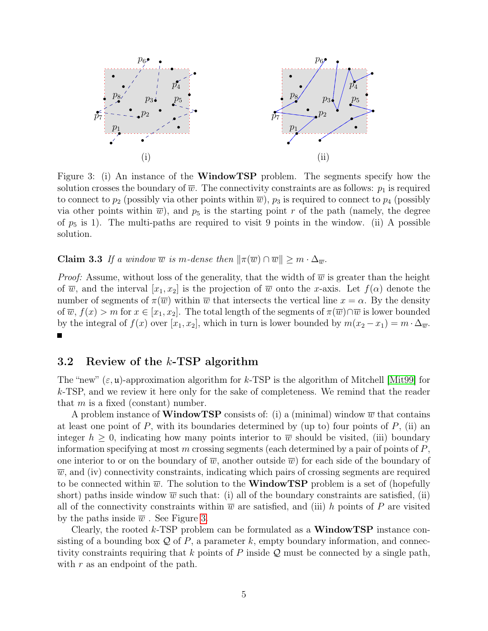

<span id="page-4-0"></span>Figure 3: (i) An instance of the WindowTSP problem. The segments specify how the solution crosses the boundary of  $\overline{w}$ . The connectivity constraints are as follows:  $p_1$  is required to connect to  $p_2$  (possibly via other points within  $\overline{w}$ ),  $p_3$  is required to connect to  $p_4$  (possibly via other points within  $\overline{w}$ ), and  $p_5$  is the starting point r of the path (namely, the degree of  $p_5$  is 1). The multi-paths are required to visit 9 points in the window. (ii) A possible solution.

**Claim 3.3** If a window  $\overline{w}$  is m-dense then  $\|\pi(\overline{w}) \cap \overline{w}\| \geq m \cdot \Delta_{\overline{w}}$ .

*Proof:* Assume, without loss of the generality, that the width of  $\overline{w}$  is greater than the height of  $\overline{w}$ , and the interval  $[x_1, x_2]$  is the projection of  $\overline{w}$  onto the x-axis. Let  $f(\alpha)$  denote the number of segments of  $\pi(\overline{w})$  within  $\overline{w}$  that intersects the vertical line  $x = \alpha$ . By the density of  $\overline{w}$ ,  $f(x) > m$  for  $x \in [x_1, x_2]$ . The total length of the segments of  $\pi(\overline{w}) \cap \overline{w}$  is lower bounded by the integral of  $f(x)$  over  $[x_1, x_2]$ , which in turn is lower bounded by  $m(x_2 - x_1) = m \cdot \Delta_{\overline{w}}$ .  $\blacksquare$ 

#### 3.2 Review of the k-TSP algorithm

The "new"  $(\varepsilon, \mathfrak{u})$ -approximation algorithm for k-TSP is the algorithm of Mitchell [\[Mit99\]](#page-13-1) for  $k$ -TSP, and we review it here only for the sake of completeness. We remind that the reader that  $m$  is a fixed (constant) number.

A problem instance of **WindowTSP** consists of: (i) a (minimal) window  $\overline{w}$  that contains at least one point of  $P$ , with its boundaries determined by (up to) four points of  $P$ , (ii) an integer  $h \geq 0$ , indicating how many points interior to  $\overline{w}$  should be visited, (iii) boundary information specifying at most m crossing segments (each determined by a pair of points of  $P$ , one interior to or on the boundary of  $\overline{w}$ , another outside  $\overline{w}$ ) for each side of the boundary of  $\overline{w}$ , and (iv) connectivity constraints, indicating which pairs of crossing segments are required to be connected within  $\overline{w}$ . The solution to the **WindowTSP** problem is a set of (hopefully short) paths inside window  $\overline{w}$  such that: (i) all of the boundary constraints are satisfied, (ii) all of the connectivity constraints within  $\overline{w}$  are satisfied, and (iii) h points of P are visited by the paths inside  $\overline{w}$ . See Figure [3.](#page-4-0)

Clearly, the rooted k-TSP problem can be formulated as a **WindowTSP** instance consisting of a bounding box  $\mathcal Q$  of P, a parameter k, empty boundary information, and connectivity constraints requiring that k points of P inside  $\mathcal Q$  must be connected by a single path, with  $r$  as an endpoint of the path.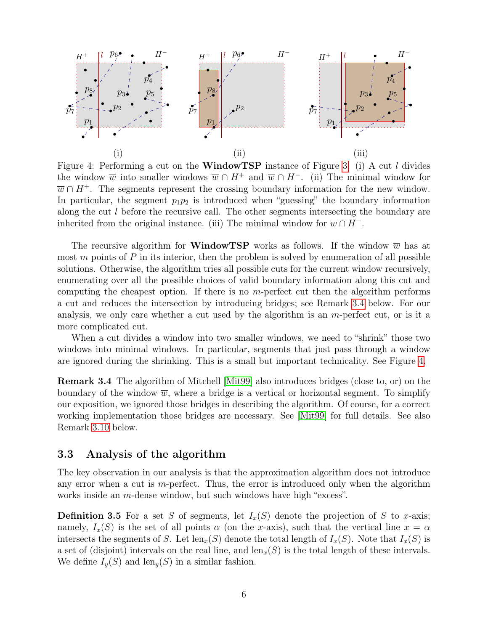

<span id="page-5-2"></span>Figure 4: Performing a cut on the WindowTSP instance of Figure [3.](#page-4-0) (i) A cut l divides the window  $\overline{w}$  into smaller windows  $\overline{w} \cap H^+$  and  $\overline{w} \cap H^-$ . (ii) The minimal window for  $\overline{w} \cap H^+$ . The segments represent the crossing boundary information for the new window. In particular, the segment  $p_1p_2$  is introduced when "guessing" the boundary information along the cut l before the recursive call. The other segments intersecting the boundary are inherited from the original instance. (iii) The minimal window for  $\overline{w} \cap H^-$ .

The recursive algorithm for **WindowTSP** works as follows. If the window  $\overline{w}$  has at most  $m$  points of  $P$  in its interior, then the problem is solved by enumeration of all possible solutions. Otherwise, the algorithm tries all possible cuts for the current window recursively, enumerating over all the possible choices of valid boundary information along this cut and computing the cheapest option. If there is no m-perfect cut then the algorithm performs a cut and reduces the intersection by introducing bridges; see Remark [3.4](#page-5-1) below. For our analysis, we only care whether a cut used by the algorithm is an  $m$ -perfect cut, or is it a more complicated cut.

When a cut divides a window into two smaller windows, we need to "shrink" those two windows into minimal windows. In particular, segments that just pass through a window are ignored during the shrinking. This is a small but important technicality. See Figure [4.](#page-5-2)

<span id="page-5-1"></span>Remark 3.4 The algorithm of Mitchell [\[Mit99\]](#page-13-1) also introduces bridges (close to, or) on the boundary of the window  $\overline{w}$ , where a bridge is a vertical or horizontal segment. To simplify our exposition, we ignored those bridges in describing the algorithm. Of course, for a correct working implementation those bridges are necessary. See [\[Mit99\]](#page-13-1) for full details. See also Remark [3.10](#page-8-1) below.

### <span id="page-5-0"></span>3.3 Analysis of the algorithm

The key observation in our analysis is that the approximation algorithm does not introduce any error when a cut is  $m$ -perfect. Thus, the error is introduced only when the algorithm works inside an m-dense window, but such windows have high "excess".

<span id="page-5-3"></span>**Definition 3.5** For a set S of segments, let  $I_x(S)$  denote the projection of S to x-axis; namely,  $I_x(S)$  is the set of all points  $\alpha$  (on the x-axis), such that the vertical line  $x = \alpha$ intersects the segments of S. Let  $len_x(S)$  denote the total length of  $I_x(S)$ . Note that  $I_x(S)$  is a set of (disjoint) intervals on the real line, and len<sub>x</sub>(S) is the total length of these intervals. We define  $I_{\nu}(S)$  and  $\text{len}_{\nu}(S)$  in a similar fashion.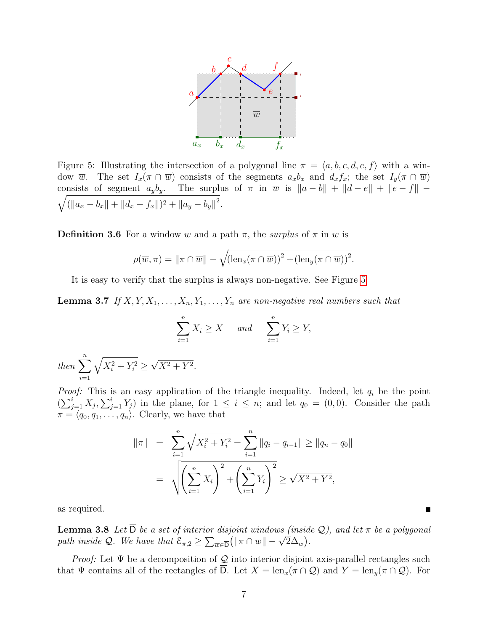

<span id="page-6-0"></span>Figure 5: Illustrating the intersection of a polygonal line  $\pi = \langle a, b, c, d, e, f \rangle$  with a window w. The set  $I_x(\pi \cap \overline{w})$  consists of the segments  $a_xb_x$  and  $d_xf_x$ ; the set  $I_y(\pi \cap \overline{w})$  $\sqrt{(\|a_x-b_x\|+\|d_x-f_x\|)^2+\|a_y-b_y\|^2}.$ consists of segment  $a_yb_y$ . The surplus of  $\pi$  in  $\overline{w}$  is  $\|a-b\| + \|d-e\| + \|e-f\|$ 

**Definition 3.6** For a window  $\overline{w}$  and a path  $\pi$ , the *surplus* of  $\pi$  in  $\overline{w}$  is

$$
\rho(\overline{w}, \pi) = ||\pi \cap \overline{w}|| - \sqrt{(\text{len}_x(\pi \cap \overline{w}))^2 + (\text{len}_y(\pi \cap \overline{w}))^2}.
$$

It is easy to verify that the surplus is always non-negative. See Figure [5.](#page-6-0)

<span id="page-6-1"></span>**Lemma 3.7** If  $X, Y, X_1, \ldots, X_n, Y_1, \ldots, Y_n$  are non-negative real numbers such that

$$
\sum_{i=1}^{n} X_i \ge X \quad and \quad \sum_{i=1}^{n} Y_i \ge Y,
$$
  

$$
\sqrt{X_i^2 + Y_i^2} \ge \sqrt{X^2 + Y^2}.
$$

*Proof:* This is an easy application of the triangle inequality. Indeed, let  $q_i$  be the point  $(\sum_{j=1}^i X_j, \sum_{j=1}^i Y_j)$  in the plane, for  $1 \leq i \leq n$ ; and let  $q_0 = (0,0)$ . Consider the path  $\pi = \langle q_0, q_1, \ldots, q_n \rangle$ . Clearly, we have that

$$
\|\pi\| = \sum_{i=1}^{n} \sqrt{X_i^2 + Y_i^2} = \sum_{i=1}^{n} \|q_i - q_{i-1}\| \ge \|q_n - q_0\|
$$

$$
= \sqrt{\left(\sum_{i=1}^{n} X_i\right)^2 + \left(\sum_{i=1}^{n} Y_i\right)^2} \ge \sqrt{X^2 + Y^2},
$$

<span id="page-6-2"></span>as required.

then  $\sum_{n=1}^n$ 

 $i=1$ 

**Lemma 3.8** Let  $\overline{D}$  be a set of interior disjoint windows (inside Q), and let  $\pi$  be a polygonal **Lemma 3.8** Let D be a set of interior assoint windows (inside path inside Q. We have that  $\mathcal{E}_{\pi,2} \geq \sum_{\overline{w} \in \overline{D}} (\|\pi \cap \overline{w}\| - \sqrt{2}\Delta_{\overline{w}})$ .

*Proof:* Let  $\Psi$  be a decomposition of  $\mathcal Q$  into interior disjoint axis-parallel rectangles such that  $\Psi$  contains all of the rectangles of  $\overline{D}$ . Let  $X = \text{len}_x(\pi \cap \mathcal{Q})$  and  $Y = \text{len}_y(\pi \cap \mathcal{Q})$ . For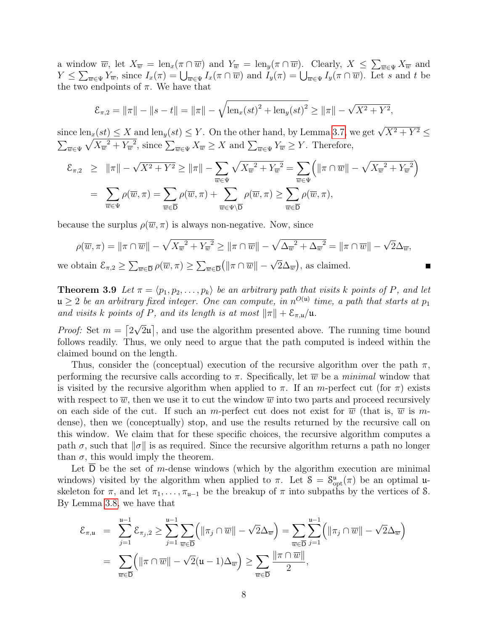a window  $\overline{w}$ , let  $X_{\overline{w}} = \text{len}_x(\pi \cap \overline{w})$  and  $Y_{\overline{w}} = \text{len}_y(\pi \cap \overline{w})$ . Clearly,  $X \leq \sum_{\overline{w} \in \Psi} X_{\overline{w}}$  and  $Y \leq \sum_{\overline{w} \in \Psi} Y_{\overline{w}}$ , since  $I_x(\pi) = \bigcup_{\overline{w} \in \Psi} I_x(\pi \cap \overline{w})$  and  $I_y(\pi) = \bigcup_{\overline{w} \in \Psi} I_y(\pi \cap \overline{w})$ . Let s and t be the two endpoints of  $\pi$ . We have that

$$
\mathcal{E}_{\pi,2} = \|\pi\| - \|s - t\| = \|\pi\| - \sqrt{\text{len}_x(st)^2 + \text{len}_y(st)^2} \ge \|\pi\| - \sqrt{X^2 + Y^2},
$$

since  $\text{len}_x(st) \leq X$  and  $\text{len}_y(st) \leq Y$ . On the other hand, by Lemma [3.7,](#page-6-1) we get  $\sqrt{X^2 + Y^2} \leq$  $\sum_{\overline{w}\in\Psi}\sqrt{X_{\overline{w}}^2+Y_{\overline{w}}^2}$ , since  $\sum_{\overline{w}\in\Psi}X_{\overline{w}}\geq X$  and  $\sum_{\overline{w}\in\Psi}Y_{\overline{w}}\geq Y$ . Therefore,

$$
\mathcal{E}_{\pi,2} \geq \|\pi\| - \sqrt{X^2 + Y^2} \geq \|\pi\| - \sum_{\overline{w} \in \Psi} \sqrt{X_{\overline{w}}^2 + Y_{\overline{w}}^2} = \sum_{\overline{w} \in \Psi} \left( \|\pi \cap \overline{w}\| - \sqrt{X_{\overline{w}}^2 + Y_{\overline{w}}^2} \right)
$$

$$
= \sum_{\overline{w} \in \Psi} \rho(\overline{w}, \pi) = \sum_{\overline{w} \in \overline{D}} \rho(\overline{w}, \pi) + \sum_{\overline{w} \in \Psi \backslash \overline{D}} \rho(\overline{w}, \pi) \geq \sum_{\overline{w} \in \overline{D}} \rho(\overline{w}, \pi),
$$

because the surplus  $\rho(\overline{w}, \pi)$  is always non-negative. Now, since

$$
\rho(\overline{w}, \pi) = \|\pi \cap \overline{w}\| - \sqrt{X_{\overline{w}}^2 + Y_{\overline{w}}^2} \ge \|\pi \cap \overline{w}\| - \sqrt{\Delta_{\overline{w}}^2 + \Delta_{\overline{w}}^2} = \|\pi \cap \overline{w}\| - \sqrt{2}\Delta_{\overline{w}},
$$
  
we obtain  $\mathcal{E}_{\pi, 2} \ge \sum_{\overline{w} \in \overline{D}} \rho(\overline{w}, \pi) \ge \sum_{\overline{w} \in \overline{D}} (\|\pi \cap \overline{w}\| - \sqrt{2}\Delta_{\overline{w}}),$  as claimed.

<span id="page-7-0"></span>**Theorem 3.9** Let  $\pi = \langle p_1, p_2, \ldots, p_k \rangle$  be an arbitrary path that visits k points of P, and let  $\mathfrak{u} \geq 2$  be an arbitrary fixed integer. One can compute, in  $n^{O(\mathfrak{u})}$  time, a path that starts at  $p_1$ and visits k points of P, and its length is at most  $\|\pi\| + \mathcal{E}_{\pi,\mathfrak{u}}/\mathfrak{u}$ .

*Proof:* Set  $m = \lceil 2 \rceil$ √  $\overline{2}\mathfrak{u}$ , and use the algorithm presented above. The running time bound follows readily. Thus, we only need to argue that the path computed is indeed within the claimed bound on the length.

Thus, consider the (conceptual) execution of the recursive algorithm over the path  $\pi$ , performing the recursive calls according to  $\pi$ . Specifically, let  $\overline{w}$  be a *minimal* window that is visited by the recursive algorithm when applied to  $\pi$ . If an m-perfect cut (for  $\pi$ ) exists with respect to  $\overline{w}$ , then we use it to cut the window  $\overline{w}$  into two parts and proceed recursively on each side of the cut. If such an m-perfect cut does not exist for  $\overline{w}$  (that is,  $\overline{w}$  is mdense), then we (conceptually) stop, and use the results returned by the recursive call on this window. We claim that for these specific choices, the recursive algorithm computes a path  $\sigma$ , such that  $\|\sigma\|$  is as required. Since the recursive algorithm returns a path no longer than  $\sigma$ , this would imply the theorem.

Let  $D$  be the set of m-dense windows (which by the algorithm execution are minimal windows) visited by the algorithm when applied to  $\pi$ . Let  $S = S^{\mu}_{opt}(\pi)$  be an optimal uskeleton for  $\pi$ , and let  $\pi_1, \ldots, \pi_{u-1}$  be the breakup of  $\pi$  into subpaths by the vertices of S. By Lemma [3.8,](#page-6-2) we have that

$$
\mathcal{E}_{\pi,\mathfrak{u}} = \sum_{j=1}^{\mathfrak{u}-1} \mathcal{E}_{\pi_j,2} \geq \sum_{j=1}^{\mathfrak{u}-1} \sum_{\overline{w} \in \overline{D}} \left( \|\pi_j \cap \overline{w}\| - \sqrt{2}\Delta_{\overline{w}} \right) = \sum_{\overline{w} \in \overline{D}} \sum_{j=1}^{\mathfrak{u}-1} \left( \|\pi_j \cap \overline{w}\| - \sqrt{2}\Delta_{\overline{w}} \right)
$$

$$
= \sum_{\overline{w} \in \overline{D}} \left( \|\pi \cap \overline{w}\| - \sqrt{2}(\mathfrak{u} - 1)\Delta_{\overline{w}} \right) \geq \sum_{\overline{w} \in \overline{D}} \frac{\|\pi \cap \overline{w}\|}{2},
$$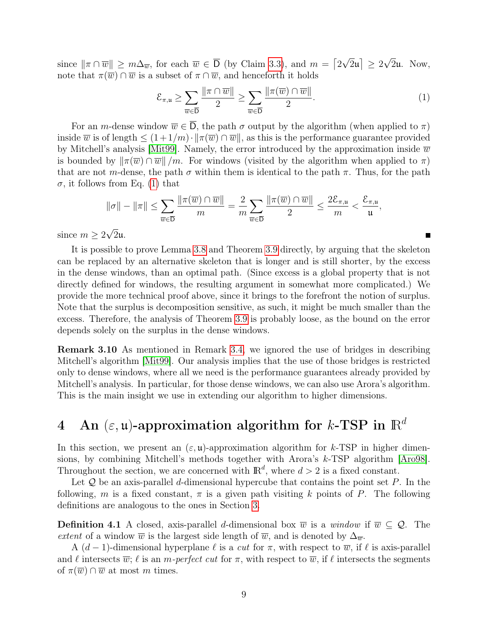since  $\|\pi \cap \overline{w}\| \geq m\Delta_{\overline{w}}$ , for each  $\overline{w} \in \overline{D}$  (by Claim [3.3\)](#page-3-2), and  $m = \lceil 2 \rceil$ √  $\overline{2}\mathfrak{u} \rceil \geq 2$ √ 2u. Now, note that  $\pi(\overline{w}) \cap \overline{w}$  is a subset of  $\pi \cap \overline{w}$ , and henceforth it holds

<span id="page-8-2"></span>
$$
\mathcal{E}_{\pi,\mathfrak{u}} \ge \sum_{\overline{w} \in \overline{\mathsf{D}}} \frac{\|\pi \cap \overline{w}\|}{2} \ge \sum_{\overline{w} \in \overline{\mathsf{D}}} \frac{\|\pi(\overline{w}) \cap \overline{w}\|}{2}.
$$
 (1)

For an m-dense window  $\overline{w} \in \overline{D}$ , the path  $\sigma$  output by the algorithm (when applied to  $\pi$ ) inside  $\overline{w}$  is of length  $\leq (1+1/m) \cdot ||\pi(\overline{w}) \cap \overline{w}||$ , as this is the performance guarantee provided by Mitchell's analysis [\[Mit99\]](#page-13-1). Namely, the error introduced by the approximation inside  $\overline{w}$ is bounded by  $\|\pi(\overline{w}) \cap \overline{w}\|/m$ . For windows (visited by the algorithm when applied to  $\pi$ ) that are not m-dense, the path  $\sigma$  within them is identical to the path  $\pi$ . Thus, for the path  $\sigma$ , it follows from Eq. [\(1\)](#page-8-2) that

$$
\|\sigma\| - \|\pi\| \le \sum_{\overline{w} \in \overline{D}} \frac{\|\pi(\overline{w}) \cap \overline{w}\|}{m} = \frac{2}{m} \sum_{\overline{w} \in \overline{D}} \frac{\|\pi(\overline{w}) \cap \overline{w}\|}{2} \le \frac{2\mathcal{E}_{\pi,\mathfrak{u}}}{m} < \frac{\mathcal{E}_{\pi,\mathfrak{u}}}{\mathfrak{u}},
$$

since  $m \geq 2\sqrt{2}\mathfrak{u}$ .

It is possible to prove Lemma [3.8](#page-6-2) and Theorem [3.9](#page-7-0) directly, by arguing that the skeleton can be replaced by an alternative skeleton that is longer and is still shorter, by the excess in the dense windows, than an optimal path. (Since excess is a global property that is not directly defined for windows, the resulting argument in somewhat more complicated.) We provide the more technical proof above, since it brings to the forefront the notion of surplus. Note that the surplus is decomposition sensitive, as such, it might be much smaller than the excess. Therefore, the analysis of Theorem [3.9](#page-7-0) is probably loose, as the bound on the error depends solely on the surplus in the dense windows.

<span id="page-8-1"></span>Remark 3.10 As mentioned in Remark [3.4,](#page-5-1) we ignored the use of bridges in describing Mitchell's algorithm [\[Mit99\]](#page-13-1). Our analysis implies that the use of those bridges is restricted only to dense windows, where all we need is the performance guarantees already provided by Mitchell's analysis. In particular, for those dense windows, we can also use Arora's algorithm. This is the main insight we use in extending our algorithm to higher dimensions.

# <span id="page-8-0"></span>4 An  $(\varepsilon, \mathfrak{u})$ -approximation algorithm for k-TSP in  $\mathbb{R}^d$

In this section, we present an  $(\varepsilon, \mathfrak{u})$ -approximation algorithm for k-TSP in higher dimensions, by combining Mitchell's methods together with Arora's k-TSP algorithm [\[Aro98\]](#page-13-0). Throughout the section, we are concerned with  $\mathbb{R}^d$ , where  $d > 2$  is a fixed constant.

Let  $Q$  be an axis-parallel d-dimensional hypercube that contains the point set  $P$ . In the following, m is a fixed constant,  $\pi$  is a given path visiting k points of P. The following definitions are analogous to the ones in Section [3.](#page-3-0)

**Definition 4.1** A closed, axis-parallel d-dimensional box  $\overline{w}$  is a window if  $\overline{w} \subseteq \mathcal{Q}$ . The extent of a window  $\overline{w}$  is the largest side length of  $\overline{w}$ , and is denoted by  $\Delta_{\overline{w}}$ .

A  $(d-1)$ -dimensional hyperplane  $\ell$  is a cut for  $\pi$ , with respect to  $\overline{w}$ , if  $\ell$  is axis-parallel and  $\ell$  intersects  $\overline{w}$ ;  $\ell$  is an m-perfect cut for  $\pi$ , with respect to  $\overline{w}$ , if  $\ell$  intersects the segments of  $\pi(\overline{w}) \cap \overline{w}$  at most m times.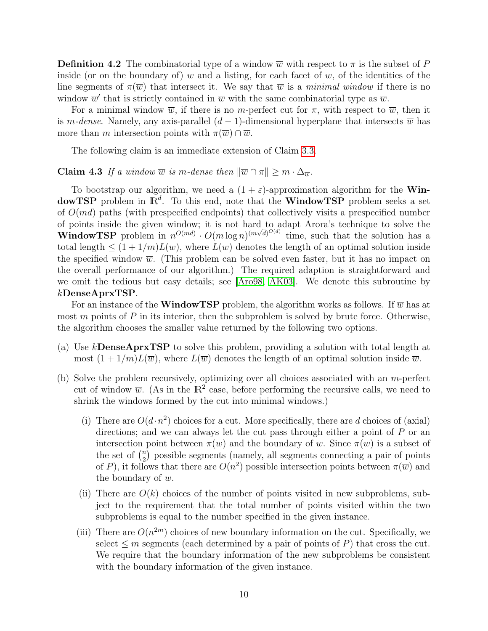**Definition 4.2** The combinatorial type of a window  $\overline{w}$  with respect to  $\pi$  is the subset of P inside (or on the boundary of)  $\overline{w}$  and a listing, for each facet of  $\overline{w}$ , of the identities of the line segments of  $\pi(\overline{w})$  that intersect it. We say that  $\overline{w}$  is a minimal window if there is no window  $\overline{w}'$  that is strictly contained in  $\overline{w}$  with the same combinatorial type as  $\overline{w}$ .

For a minimal window  $\overline{w}$ , if there is no m-perfect cut for  $\pi$ , with respect to  $\overline{w}$ , then it is m-dense. Namely, any axis-parallel  $(d-1)$ -dimensional hyperplane that intersects  $\overline{w}$  has more than m intersection points with  $\pi(\overline{w}) \cap \overline{w}$ .

The following claim is an immediate extension of Claim [3.3.](#page-3-2)

#### **Claim 4.3** If a window  $\overline{w}$  is m-dense then  $\|\overline{w}\cap\pi\|\geq m\cdot\Delta_{\overline{w}}$ .

To bootstrap our algorithm, we need a  $(1 + \varepsilon)$ -approximation algorithm for the **Win**dowTSP problem in  $\mathbb{R}^d$ . To this end, note that the WindowTSP problem seeks a set of  $O(md)$  paths (with prespecified endpoints) that collectively visits a prespecified number of points inside the given window; it is not hard to adapt Arora's technique to solve the **WindowTSP** problem in  $n^{O(md)} \cdot O(m \log n)^{(m\sqrt{d})^{O(d)}}$  time, such that the solution has a total length  $\leq (1+1/m)L(\overline{w})$ , where  $L(\overline{w})$  denotes the length of an optimal solution inside the specified window  $\overline{w}$ . (This problem can be solved even faster, but it has no impact on the overall performance of our algorithm.) The required adaption is straightforward and we omit the tedious but easy details; see [\[Aro98,](#page-13-0) [AK03\]](#page-13-11). We denote this subroutine by kDenseAprxTSP.

For an instance of the **WindowTSP** problem, the algorithm works as follows. If  $\overline{w}$  has at most  $m$  points of  $P$  in its interior, then the subproblem is solved by brute force. Otherwise, the algorithm chooses the smaller value returned by the following two options.

- (a) Use kDenseAprxTSP to solve this problem, providing a solution with total length at most  $(1 + 1/m)L(\overline{w})$ , where  $L(\overline{w})$  denotes the length of an optimal solution inside  $\overline{w}$ .
- (b) Solve the problem recursively, optimizing over all choices associated with an m-perfect cut of window  $\overline{w}$ . (As in the  $\mathbb{R}^2$  case, before performing the recursive calls, we need to shrink the windows formed by the cut into minimal windows.)
	- (i) There are  $O(d \cdot n^2)$  choices for a cut. More specifically, there are d choices of (axial) directions; and we can always let the cut pass through either a point of  $P$  or an intersection point between  $\pi(\overline{w})$  and the boundary of  $\overline{w}$ . Since  $\pi(\overline{w})$  is a subset of the set of  $\binom{n}{2}$  $\binom{n}{2}$  possible segments (namely, all segments connecting a pair of points of P), it follows that there are  $O(n^2)$  possible intersection points between  $\pi(\overline{w})$  and the boundary of  $\overline{w}$ .
	- (ii) There are  $O(k)$  choices of the number of points visited in new subproblems, subject to the requirement that the total number of points visited within the two subproblems is equal to the number specified in the given instance.
	- (iii) There are  $O(n^{2m})$  choices of new boundary information on the cut. Specifically, we select  $\leq m$  segments (each determined by a pair of points of P) that cross the cut. We require that the boundary information of the new subproblems be consistent with the boundary information of the given instance.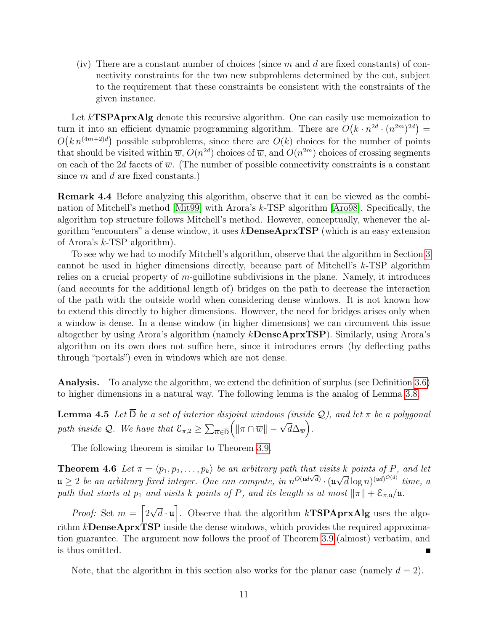(iv) There are a constant number of choices (since  $m$  and  $d$  are fixed constants) of connectivity constraints for the two new subproblems determined by the cut, subject to the requirement that these constraints be consistent with the constraints of the given instance.

Let  $k$ **TSPAprxAlg** denote this recursive algorithm. One can easily use memoization to turn it into an efficient dynamic programming algorithm. There are  $O(k \cdot n^{2d} \cdot (n^{2m})^{2d}) =$  $O(k n^{(4m+2)d})$  possible subproblems, since there are  $O(k)$  choices for the number of points that should be visited within  $\overline{w}$ ,  $O(n^{2d})$  choices of  $\overline{w}$ , and  $O(n^{2m})$  choices of crossing segments on each of the 2d facets of  $\overline{w}$ . (The number of possible connectivity constraints is a constant since  $m$  and  $d$  are fixed constants.)

Remark 4.4 Before analyzing this algorithm, observe that it can be viewed as the combination of Mitchell's method [\[Mit99\]](#page-13-1) with Arora's k-TSP algorithm [\[Aro98\]](#page-13-0). Specifically, the algorithm top structure follows Mitchell's method. However, conceptually, whenever the algorithm "encounters" a dense window, it uses  $k$ **DenseAprxTSP** (which is an easy extension of Arora's k-TSP algorithm).

To see why we had to modify Mitchell's algorithm, observe that the algorithm in Section [3](#page-3-0) cannot be used in higher dimensions directly, because part of Mitchell's k-TSP algorithm relies on a crucial property of  $m$ -guillotine subdivisions in the plane. Namely, it introduces (and accounts for the additional length of) bridges on the path to decrease the interaction of the path with the outside world when considering dense windows. It is not known how to extend this directly to higher dimensions. However, the need for bridges arises only when a window is dense. In a dense window (in higher dimensions) we can circumvent this issue altogether by using Arora's algorithm (namely kDenseAprxTSP). Similarly, using Arora's algorithm on its own does not suffice here, since it introduces errors (by deflecting paths through "portals") even in windows which are not dense.

Analysis. To analyze the algorithm, we extend the definition of surplus (see Definition [3.6\)](#page-5-3) to higher dimensions in a natural way. The following lemma is the analog of Lemma [3.8.](#page-6-2)

**Lemma 4.5** Let  $\overline{D}$  be a set of interior disjoint windows (inside  $\mathcal{Q}$ ), and let  $\pi$  be a polygonal path inside Q. We have that  $\mathcal{E}_{\pi,2} \geq \sum_{\overline{w} \in \overline{D}} \left( \|\pi \cap \overline{w}\| - \sqrt{d} \Delta_{\overline{w}} \right)$ .

The following theorem is similar to Theorem [3.9.](#page-7-0)

<span id="page-10-0"></span>**Theorem 4.6** Let  $\pi = \langle p_1, p_2, \ldots, p_k \rangle$  be an arbitrary path that visits k points of P, and let  $u \geq 2$  be an arbitrary fixed integer. One can compute, in  $n^{O(\mu d \sqrt{d})} \cdot (u)$ √  $\overline{d} \log n$ <sup>(ud) $^{O(d)}$ </sup> time, a path that starts at  $p_1$  and visits k points of P, and its length is at most  $\|\pi\| + \mathcal{E}_{\pi,\mathfrak{u}}/\mathfrak{u}$ .

*Proof:* Set  $m = \lceil 2 \rceil$ √  $\overline{d} \cdot \mathfrak{u}$ . Observe that the algorithm  $k$ **TSPAprxAlg** uses the algorithm  $k$ **DenseAprxTSP** inside the dense windows, which provides the required approximation guarantee. The argument now follows the proof of Theorem [3.9](#page-7-0) (almost) verbatim, and is thus omitted.

Note, that the algorithm in this section also works for the planar case (namely  $d = 2$ ).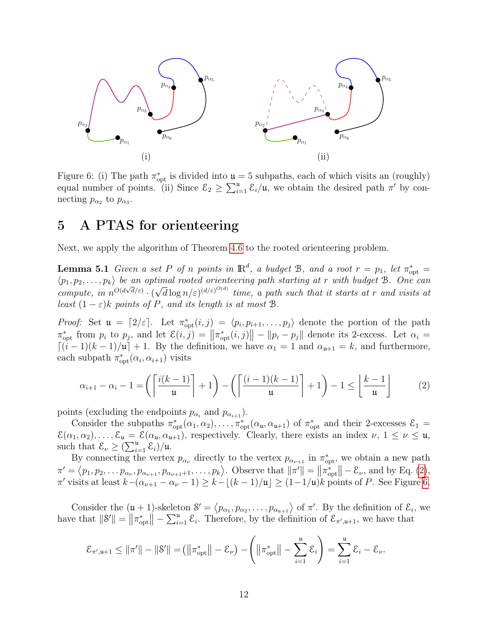

<span id="page-11-2"></span>Figure 6: (i) The path  $\pi_{opt}^*$  is divided into  $\mathfrak{u} = 5$  subpaths, each of which visits an (roughly) equal number of points. (ii) Since  $\mathcal{E}_2 \geq \sum_{i=1}^{\mu} \mathcal{E}_i/\mu$ , we obtain the desired path  $\pi'$  by connecting  $p_{\alpha_2}$  to  $p_{\alpha_3}$ .

## <span id="page-11-0"></span>5 A PTAS for orienteering

Next, we apply the algorithm of Theorem [4.6](#page-10-0) to the rooted orienteering problem.

**Lemma 5.1** Given a set P of n points in  $\mathbb{R}^d$ , a budget B, and a root  $r = p_1$ , let  $\pi_{\text{opt}}^* =$  $\langle p_1, p_2, \ldots, p_k \rangle$  be an optimal rooted orienteering path starting at r with budget B. One can compute, in  $n^{O(d\sqrt{d}/\varepsilon)} \cdot (\sqrt{d}\log n/\varepsilon)^{(d/\varepsilon)^{O(d)}}$  time, a path such that it starts at r and visits at least  $(1 - \varepsilon)k$  points of P, and its length is at most B.

*Proof:* Set  $\mathfrak{u} = [2/\varepsilon]$ . Let  $\pi_{\text{opt}}^*(i,j) = \langle p_i, p_{i+1}, \ldots, p_j \rangle$  denote the portion of the path  $\pi_{\text{opt}}^*$  from  $p_i$  to  $p_j$ , and let  $\mathcal{E}(i, j) = ||\pi_{\text{opt}}^*(i, j)|| - ||p_i - p_j||$  denote its 2-excess. Let  $\alpha_i =$  $\lceil (i-1)(k-1)/\mu \rceil + 1$ . By the definition, we have  $\alpha_1 = 1$  and  $\alpha_{\mu+1} = k$ , and furthermore, each subpath  $\pi_{\text{opt}}^*(\alpha_i, \alpha_{i+1})$  visits

<span id="page-11-1"></span>
$$
\alpha_{i+1} - \alpha_i - 1 = \left( \left\lceil \frac{i(k-1)}{\mathfrak{u}} \right\rceil + 1 \right) - \left( \left\lceil \frac{(i-1)(k-1)}{\mathfrak{u}} \right\rceil + 1 \right) - 1 \le \left\lfloor \frac{k-1}{\mathfrak{u}} \right\rfloor \tag{2}
$$

points (excluding the endpoints  $p_{\alpha_i}$  and  $p_{\alpha_{i+1}}$ ).

Consider the subpaths  $\pi_{\text{opt}}^*(\alpha_1, \alpha_2), \ldots, \pi_{\text{opt}}^*(\alpha_{\mathfrak{u}}, \alpha_{\mathfrak{u}+1})$  of  $\pi_{\text{opt}}^*$  and their 2-excesses  $\mathcal{E}_1$  =  $\mathcal{E}(\alpha_1, \alpha_2), \ldots, \mathcal{E}_{\mathfrak{u}} = \mathcal{E}(\alpha_{\mathfrak{u}}, \alpha_{\mathfrak{u}+1}),$  respectively. Clearly, there exists an index  $\nu, 1 \leq \nu \leq \mathfrak{u},$ such that  $\mathcal{E}_{\nu} \geq (\sum_{i=1}^{\mathfrak{u}} \mathcal{E}_i)/\mathfrak{u}$ .

By connecting the vertex  $p_{\alpha_{\nu}}$  directly to the vertex  $p_{\alpha_{\nu+1}}$  in  $\pi^*_{\text{opt}}$ , we obtain a new path  $\pi' = \langle p_1, p_2, \dots, p_{\alpha_{\nu+1}}, p_{\alpha_{\nu+1}+1}, \dots, p_k \rangle$ . Observe that  $\|\pi'\| = \|\pi_{\text{opt}}^*\| - \mathcal{E}_{\nu}$ , and by Eq. [\(2\)](#page-11-1),  $\pi'$  visits at least  $k-(\alpha_{\nu+1}-\alpha_{\nu}-1) \geq k-\lfloor (k-1)/\mathfrak{u} \rfloor \geq (1-1/\mathfrak{u})k$  points of P. See Figure [6.](#page-11-2)

Consider the  $(\mathfrak{u} + 1)$ -skeleton  $\mathcal{S}' = \langle p_{\alpha_1}, p_{\alpha_2}, \dots, p_{\alpha_{\mathfrak{u}+1}} \rangle$  of  $\pi'$ . By the definition of  $\mathcal{E}_i$ , we have that  $||\mathcal{S}'|| = ||\pi_{\text{opt}}^*|| - \sum_{i=1}^{\mu} \mathcal{E}_i$ . Therefore, by the definition of  $\mathcal{E}_{\pi',\mu+1}$ , we have that

$$
\mathcal{E}_{\pi',\mathfrak{u}+1} \leq ||\pi'|| - ||\mathcal{S}'|| = (||\pi_{\mathrm{opt}}^*|| - \mathcal{E}_{\nu}) - (||\pi_{\mathrm{opt}}^*|| - \sum_{i=1}^{\mathfrak{u}} \mathcal{E}_i) = \sum_{i=1}^{\mathfrak{u}} \mathcal{E}_i - \mathcal{E}_{\nu}.
$$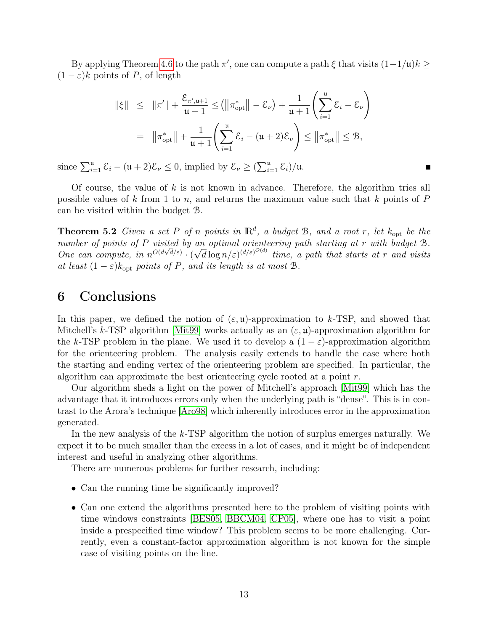By applying Theorem [4.6](#page-10-0) to the path  $\pi'$ , one can compute a path  $\xi$  that visits  $(1-1/\mu)k \geq$  $(1 - \varepsilon)k$  points of P, of length

$$
\|\xi\| \leq \|\pi'\| + \frac{\mathcal{E}_{\pi', \mathfrak{u}+1}}{\mathfrak{u}+1} \leq (\|\pi_{\text{opt}}^*\| - \mathcal{E}_{\nu}) + \frac{1}{\mathfrak{u}+1} \left(\sum_{i=1}^{\mathfrak{u}} \mathcal{E}_i - \mathcal{E}_{\nu}\right)
$$
  
=  $\|\pi_{\text{opt}}^*\| + \frac{1}{\mathfrak{u}+1} \left(\sum_{i=1}^{\mathfrak{u}} \mathcal{E}_i - (\mathfrak{u}+2)\mathcal{E}_{\nu}\right) \leq \|\pi_{\text{opt}}^*\| \leq \mathcal{B},$ 

since  $\sum_{i=1}^{u} \mathcal{E}_i - (\mathfrak{u} + 2)\mathcal{E}_{\nu} \leq 0$ , implied by  $\mathcal{E}_{\nu} \geq (\sum_{i=1}^{u} \mathcal{E}_i)/\mathfrak{u}$ .

Of course, the value of  $k$  is not known in advance. Therefore, the algorithm tries all possible values of k from 1 to n, and returns the maximum value such that k points of  $P$ can be visited within the budget B.

Г

**Theorem 5.2** Given a set P of n points in  $\mathbb{R}^d$ , a budget B, and a root r, let  $k_{\text{opt}}$  be the number of points of P visited by an optimal orienteering path starting at r with budget B. One can compute, in  $n^{O(d\sqrt{d}/\varepsilon)} \cdot (\sqrt{d}\log n/\varepsilon)^{(d/\varepsilon)^{O(d)}}$  time, a path that starts at r and visits at least  $(1 - \varepsilon)k_{\text{opt}}$  points of P, and its length is at most B.

## <span id="page-12-0"></span>6 Conclusions

In this paper, we defined the notion of  $(\varepsilon, \mathfrak{u})$ -approximation to k-TSP, and showed that Mitchell's k-TSP algorithm [\[Mit99\]](#page-13-1) works actually as an  $(\varepsilon, \mathbf{u})$ -approximation algorithm for the k-TSP problem in the plane. We used it to develop a  $(1 - \varepsilon)$ -approximation algorithm for the orienteering problem. The analysis easily extends to handle the case where both the starting and ending vertex of the orienteering problem are specified. In particular, the algorithm can approximate the best orienteering cycle rooted at a point r.

Our algorithm sheds a light on the power of Mitchell's approach [\[Mit99\]](#page-13-1) which has the advantage that it introduces errors only when the underlying path is "dense". This is in contrast to the Arora's technique [\[Aro98\]](#page-13-0) which inherently introduces error in the approximation generated.

In the new analysis of the k-TSP algorithm the notion of surplus emerges naturally. We expect it to be much smaller than the excess in a lot of cases, and it might be of independent interest and useful in analyzing other algorithms.

There are numerous problems for further research, including:

- Can the running time be significantly improved?
- Can one extend the algorithms presented here to the problem of visiting points with time windows constraints [\[BES05,](#page-13-9) [BBCM04,](#page-13-6) [CP05\]](#page-13-10), where one has to visit a point inside a prespecified time window? This problem seems to be more challenging. Currently, even a constant-factor approximation algorithm is not known for the simple case of visiting points on the line.